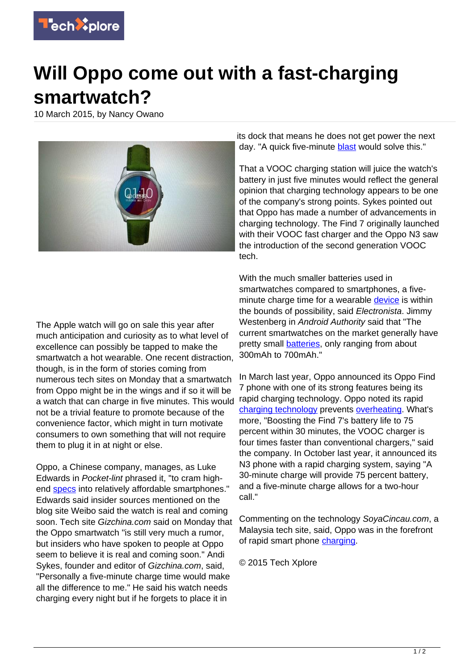

## **Will Oppo come out with a fast-charging smartwatch?**

10 March 2015, by Nancy Owano



The Apple watch will go on sale this year after much anticipation and curiosity as to what level of excellence can possibly be tapped to make the smartwatch a hot wearable. One recent distraction, though, is in the form of stories coming from numerous tech sites on Monday that a smartwatch from Oppo might be in the wings and if so it will be a watch that can charge in five minutes. This would not be a trivial feature to promote because of the convenience factor, which might in turn motivate consumers to own something that will not require them to plug it in at night or else.

Oppo, a Chinese company, manages, as Luke Edwards in Pocket-lint phrased it, "to cram highend [specs](http://www.pocket-lint.com/news/133112-forget-apple-watch-oppo-smartwatch-is-reported-to-fully-charge-in-just-five-minutes) into relatively affordable smartphones." Edwards said insider sources mentioned on the blog site Weibo said the watch is real and coming soon. Tech site Gizchina.com said on Monday that the Oppo smartwatch "is still very much a rumor, but insiders who have spoken to people at Oppo seem to believe it is real and coming soon." Andi Sykes, founder and editor of Gizchina.com, said, "Personally a five-minute charge time would make all the difference to me." He said his watch needs charging every night but if he forgets to place it in

its dock that means he does not get power the next day. "A quick five-minute **blast** would solve this."

That a VOOC charging station will juice the watch's battery in just five minutes would reflect the general opinion that charging technology appears to be one of the company's strong points. Sykes pointed out that Oppo has made a number of advancements in charging technology. The Find 7 originally launched with their VOOC fast charger and the Oppo N3 saw the introduction of the second generation VOOC tech.

With the much smaller batteries used in smartwatches compared to smartphones, a fiveminute charge time for a wearable [device](http://www.electronista.com/articles/15/03/09/high.speed.charging.of.rumored.smartwatch.undercuts.current.charging.periods/#ixzz3TvJ30spi) is within the bounds of possibility, said Electronista. Jimmy Westenberg in Android Authority said that "The current smartwatches on the market generally have pretty small **batteries**, only ranging from about 300mAh to 700mAh."

In March last year, Oppo announced its Oppo Find 7 phone with one of its strong features being its rapid charging technology. Oppo noted its rapid [charging technology](https://techxplore.com/tags/charging+technology/) prevents [overheating.](http://global.oppo.com/en/press) What's more, "Boosting the Find 7's battery life to 75 percent within 30 minutes, the VOOC charger is four times faster than conventional chargers," said the company. In October last year, it announced its N3 phone with a rapid charging system, saying "A 30-minute charge will provide 75 percent battery, and a five-minute charge allows for a two-hour call."

Commenting on the technology SoyaCincau.com, a Malaysia tech site, said, Oppo was in the forefront of rapid smart phone [charging.](http://www.soyacincau.com/tag/oppo-vooc-charger/)

© 2015 Tech Xplore